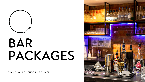

# BAR PACKAGES

THANK YOU FOR CHOOSING ESPACE.